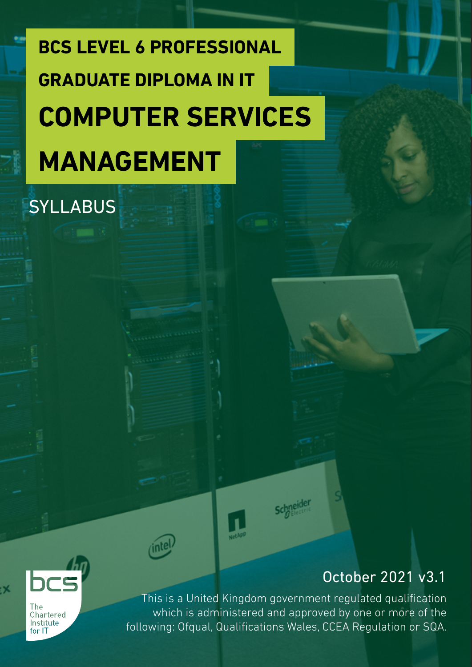# **BCS LEVEL 6 PROFESSIONAL COMPUTER SERVICES MANAGEMENT GRADUATE DIPLOMA IN IT**

SYLLABUS

# October 2021 v3.1



b.

This is a United Kingdom government regulated qualification which is administered and approved by one or more of the following: Ofqual, Qualifications Wales, CCEA Regulation or SQA.

**Schneider**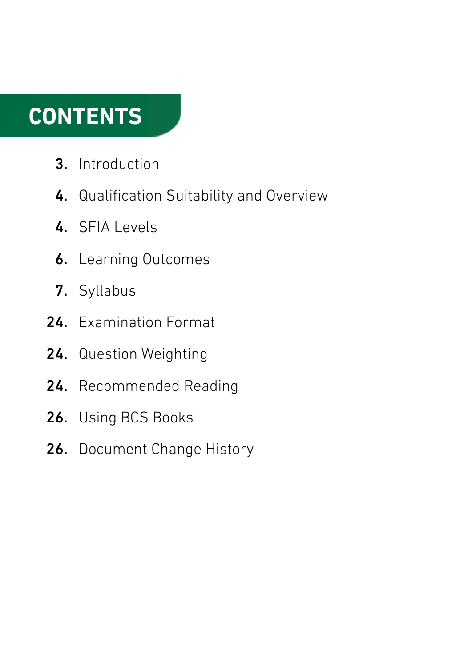# **CONTENTS**

- Introduction 3.
- 4. Qualification Suitability and Overview
- 4. SFIA Levels
- **6.** Learning Outcomes
- 7. Syllabus
- 24. Examination Format
- 24. Question Weighting
- 24. Recommended Reading
- Using BCS Books 26.
- 26. Document Change History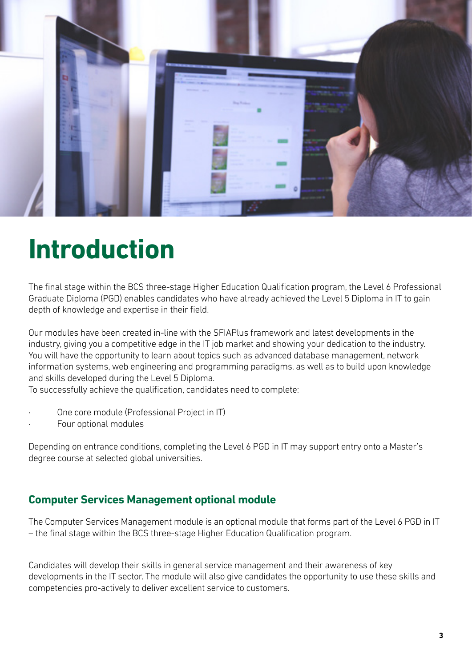

# **Introduction**

The final stage within the BCS three-stage Higher Education Qualification program, the Level 6 Professional Graduate Diploma (PGD) enables candidates who have already achieved the Level 5 Diploma in IT to gain depth of knowledge and expertise in their field.

Our modules have been created in-line with the SFIAPlus framework and latest developments in the industry, giving you a competitive edge in the IT job market and showing your dedication to the industry. You will have the opportunity to learn about topics such as advanced database management, network information systems, web engineering and programming paradigms, as well as to build upon knowledge and skills developed during the Level 5 Diploma.

To successfully achieve the qualification, candidates need to complete:

- One core module (Professional Project in IT)
- Four optional modules

Depending on entrance conditions, completing the Level 6 PGD in IT may support entry onto a Master's degree course at selected global universities.

### **Computer Services Management optional module**

The Computer Services Management module is an optional module that forms part of the Level 6 PGD in IT – the final stage within the BCS three-stage Higher Education Qualification program.

Candidates will develop their skills in general service management and their awareness of key developments in the IT sector. The module will also give candidates the opportunity to use these skills and competencies pro-actively to deliver excellent service to customers.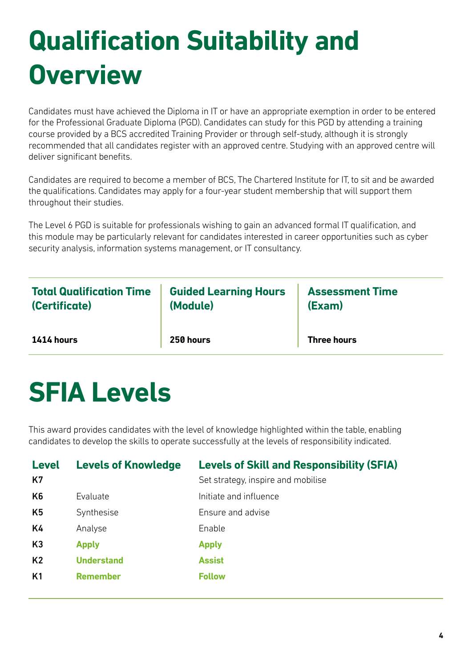# **Qualification Suitability and Overview**

Candidates must have achieved the Diploma in IT or have an appropriate exemption in order to be entered for the Professional Graduate Diploma (PGD). Candidates can study for this PGD by attending a training course provided by a BCS accredited Training Provider or through self-study, although it is strongly recommended that all candidates register with an approved centre. Studying with an approved centre will deliver significant benefits.

Candidates are required to become a member of BCS, The Chartered Institute for IT, to sit and be awarded the qualifications. Candidates may apply for a four-year student membership that will support them throughout their studies.

The Level 6 PGD is suitable for professionals wishing to gain an advanced formal IT qualification, and this module may be particularly relevant for candidates interested in career opportunities such as cyber security analysis, information systems management, or IT consultancy.

| <b>Total Qualification Time</b> | <b>Guided Learning Hours</b> | <b>Assessment Time</b> |
|---------------------------------|------------------------------|------------------------|
| (Certificate)                   | (Module)                     | (Exam)                 |
| 1414 hours                      | 250 hours                    | <b>Three hours</b>     |

# **SFIA Levels**

This award provides candidates with the level of knowledge highlighted within the table, enabling candidates to develop the skills to operate successfully at the levels of responsibility indicated.

| <b>Level</b><br>K7 | <b>Levels of Knowledge</b> | <b>Levels of Skill and Responsibility (SFIA)</b><br>Set strategy, inspire and mobilise |
|--------------------|----------------------------|----------------------------------------------------------------------------------------|
| K <sub>6</sub>     | Evaluate                   | Initiate and influence                                                                 |
| K <sub>5</sub>     | Synthesise                 | Ensure and advise                                                                      |
| K4                 | Analyse                    | Enable                                                                                 |
| K3                 | <b>Apply</b>               | <b>Apply</b>                                                                           |
| K <sub>2</sub>     | <b>Understand</b>          | <b>Assist</b>                                                                          |
| K <sub>1</sub>     | <b>Remember</b>            | <b>Follow</b>                                                                          |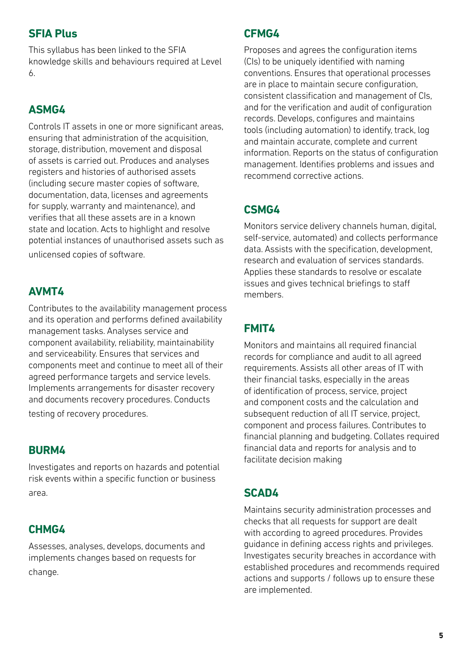### **SFIA Plus**

This syllabus has been linked to the SFIA knowledge skills and behaviours required at Level 6.

### **ASMG4**

Controls IT assets in one or more significant areas, ensuring that administration of the acquisition, storage, distribution, movement and disposal of assets is carried out. Produces and analyses registers and histories of authorised assets (including secure master copies of software, documentation, data, licenses and agreements for supply, warranty and maintenance), and verifies that all these assets are in a known state and location. Acts to highlight and resolve potential instances of unauthorised assets such as unlicensed copies of software.

# **AVMT4**

Contributes to the availability management process and its operation and performs defined availability management tasks. Analyses service and component availability, reliability, maintainability and serviceability. Ensures that services and components meet and continue to meet all of their agreed performance targets and service levels. Implements arrangements for disaster recovery and documents recovery procedures. Conducts testing of recovery procedures.

### **BURM4**

Investigates and reports on hazards and potential risk events within a specific function or business area.

# **CHMG4**

Assesses, analyses, develops, documents and implements changes based on requests for change.

### **CFMG4**

Proposes and agrees the configuration items (CIs) to be uniquely identified with naming conventions. Ensures that operational processes are in place to maintain secure configuration, consistent classification and management of CIs, and for the verification and audit of configuration records. Develops, configures and maintains tools (including automation) to identify, track, log and maintain accurate, complete and current information. Reports on the status of configuration management. Identifies problems and issues and recommend corrective actions.

# **CSMG4**

Monitors service delivery channels human, digital, self-service, automated) and collects performance data. Assists with the specification, development, research and evaluation of services standards. Applies these standards to resolve or escalate issues and gives technical briefings to staff members.

# **FMIT4**

Monitors and maintains all required financial records for compliance and audit to all agreed requirements. Assists all other areas of IT with their financial tasks, especially in the areas of identification of process, service, project and component costs and the calculation and subsequent reduction of all IT service, project, component and process failures. Contributes to financial planning and budgeting. Collates required financial data and reports for analysis and to facilitate decision making

# **SCAD4**

Maintains security administration processes and checks that all requests for support are dealt with according to agreed procedures. Provides guidance in defining access rights and privileges. Investigates security breaches in accordance with established procedures and recommends required actions and supports / follows up to ensure these are implemented.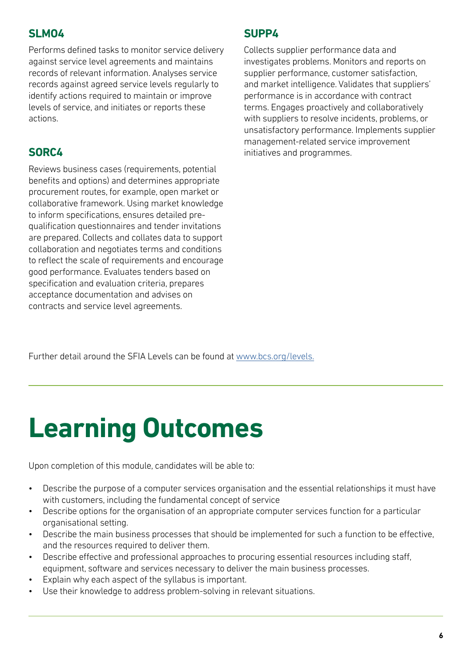### **SLMO4**

Performs defined tasks to monitor service delivery against service level agreements and maintains records of relevant information. Analyses service records against agreed service levels regularly to identify actions required to maintain or improve levels of service, and initiates or reports these actions.

# **SORC4**

Reviews business cases (requirements, potential benefits and options) and determines appropriate procurement routes, for example, open market or collaborative framework. Using market knowledge to inform specifications, ensures detailed prequalification questionnaires and tender invitations are prepared. Collects and collates data to support collaboration and negotiates terms and conditions to reflect the scale of requirements and encourage good performance. Evaluates tenders based on specification and evaluation criteria, prepares acceptance documentation and advises on contracts and service level agreements.

## **SUPP4**

Collects supplier performance data and investigates problems. Monitors and reports on supplier performance, customer satisfaction, and market intelligence. Validates that suppliers' performance is in accordance with contract terms. Engages proactively and collaboratively with suppliers to resolve incidents, problems, or unsatisfactory performance. Implements supplier management-related service improvement initiatives and programmes.

Further detail around the SFIA Levels can be found at [www.bcs.org/levels.](https://www.bcs.org/media/5165/sfia-levels-knowledge.pdf)

# **Learning Outcomes**

Upon completion of this module, candidates will be able to:

- Describe the purpose of a computer services organisation and the essential relationships it must have with customers, including the fundamental concept of service
- Describe options for the organisation of an appropriate computer services function for a particular organisational setting.
- Describe the main business processes that should be implemented for such a function to be effective, and the resources required to deliver them.
- Describe effective and professional approaches to procuring essential resources including staff, equipment, software and services necessary to deliver the main business processes.
- Explain why each aspect of the syllabus is important.
- Use their knowledge to address problem-solving in relevant situations.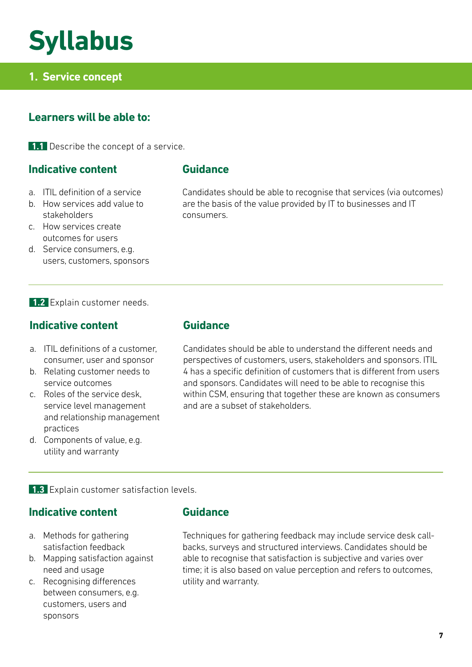# **Syllabus**

# **1. Service concept**

### **Learners will be able to:**

**1.1** Describe the concept of a service.

#### **Indicative content**

#### a. ITIL definition of a service

- b. How services add value to stakeholders
- c. How services create outcomes for users
- d. Service consumers, e.g. users, customers, sponsors

#### **1.2** Explain customer needs.

#### **Indicative content**

- a. ITIL definitions of a customer, consumer, user and sponsor
- b. Relating customer needs to service outcomes
- c. Roles of the service desk, service level management and relationship management practices
- d. Components of value, e.g. utility and warranty

**Guidance**

Candidates should be able to recognise that services (via outcomes) are the basis of the value provided by IT to businesses and IT consumers.

#### **Guidance**

Candidates should be able to understand the different needs and perspectives of customers, users, stakeholders and sponsors. ITIL 4 has a specific definition of customers that is different from users and sponsors. Candidates will need to be able to recognise this within CSM, ensuring that together these are known as consumers and are a subset of stakeholders.

#### **1.3** Explain customer satisfaction levels.

#### **Indicative content**

- a. Methods for gathering satisfaction feedback
- b. Mapping satisfaction against need and usage
- c. Recognising differences between consumers, e.g. customers, users and sponsors

#### **Guidance**

Techniques for gathering feedback may include service desk callbacks, surveys and structured interviews. Candidates should be able to recognise that satisfaction is subjective and varies over time; it is also based on value perception and refers to outcomes, utility and warranty.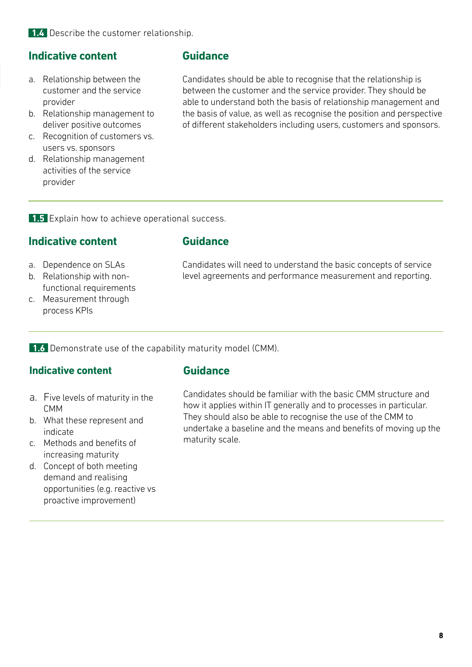**1.4** Describe the customer relationship.

#### **Indicative content**

- a. Relationship between the customer and the service provider
- b. Relationship management to deliver positive outcomes
- c. Recognition of customers vs. users vs. sponsors
- d. Relationship management activities of the service provider

#### **Guidance**

Candidates should be able to recognise that the relationship is between the customer and the service provider. They should be able to understand both the basis of relationship management and the basis of value, as well as recognise the position and perspective of different stakeholders including users, customers and sponsors.

**1.5** Explain how to achieve operational success.

#### **Indicative content**

- a. Dependence on SLAs
- b. Relationship with nonfunctional requirements
- c. Measurement through process KPIs

**Guidance**

Candidates will need to understand the basic concepts of service level agreements and performance measurement and reporting.

**1.6** Demonstrate use of the capability maturity model (CMM).

#### **Indicative content**

#### **Guidance**

- a. Five levels of maturity in the CMM
- b. What these represent and indicate
- c. Methods and benefits of increasing maturity
- d. Concept of both meeting demand and realising opportunities (e.g. reactive vs proactive improvement)

Candidates should be familiar with the basic CMM structure and how it applies within IT generally and to processes in particular. They should also be able to recognise the use of the CMM to undertake a baseline and the means and benefits of moving up the maturity scale.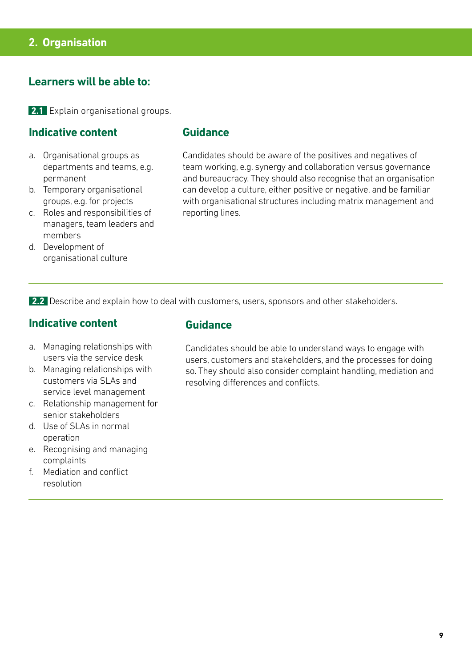#### **2. Organisation**

#### **Learners will be able to:**

**2.1** Explain organisational groups.

#### **Indicative content**

- a. Organisational groups as departments and teams, e.g. permanent
- b. Temporary organisational groups, e.g. for projects
- c. Roles and responsibilities of managers, team leaders and members
- d. Development of organisational culture

#### **Guidance**

Candidates should be aware of the positives and negatives of team working, e.g. synergy and collaboration versus governance and bureaucracy. They should also recognise that an organisation can develop a culture, either positive or negative, and be familiar with organisational structures including matrix management and reporting lines.

**2.2** Describe and explain how to deal with customers, users, sponsors and other stakeholders.

#### **Indicative content**

- a. Managing relationships with users via the service desk
- b. Managing relationships with customers via SLAs and service level management
- c. Relationship management for senior stakeholders
- d. Use of SLAs in normal operation
- e. Recognising and managing complaints
- f. Mediation and conflict resolution

#### **Guidance**

Candidates should be able to understand ways to engage with users, customers and stakeholders, and the processes for doing so. They should also consider complaint handling, mediation and resolving differences and conflicts.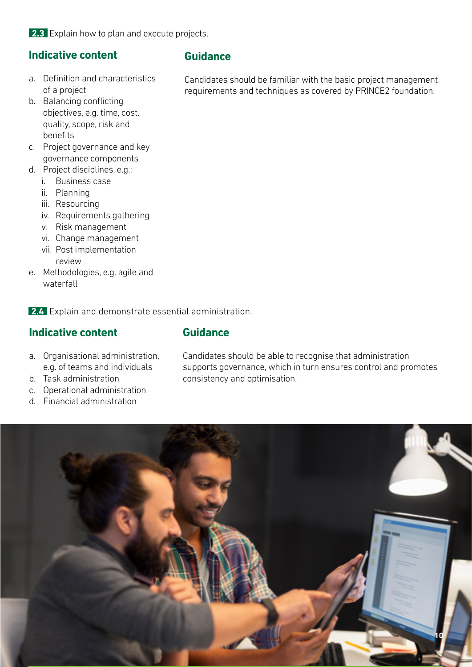**2.3** Explain how to plan and execute projects.

### **Indicative content**

- a. Definition and characteristics of a project
- b. Balancing conflicting objectives, e.g. time, cost, quality, scope, risk and benefits
- c. Project governance and key governance components
- d. Project disciplines, e.g.:
	- i. Business case
	- ii. Planning
	- iii. Resourcing
	- iv. Requirements gathering
	- v. Risk management
	- vi. Change management
	- vii. Post implementation review
- e. Methodologies, e.g. agile and waterfall

**2.4** Explain and demonstrate essential administration.

#### **Indicative content**

#### **Guidance**

- a. Organisational administration, e.g. of teams and individuals
- b. Task administration
- c. Operational administration
- d. Financial administration

Candidates should be able to recognise that administration supports governance, which in turn ensures control and promotes consistency and optimisation.



#### **Guidance**

Candidates should be familiar with the basic project management requirements and techniques as covered by PRINCE2 foundation.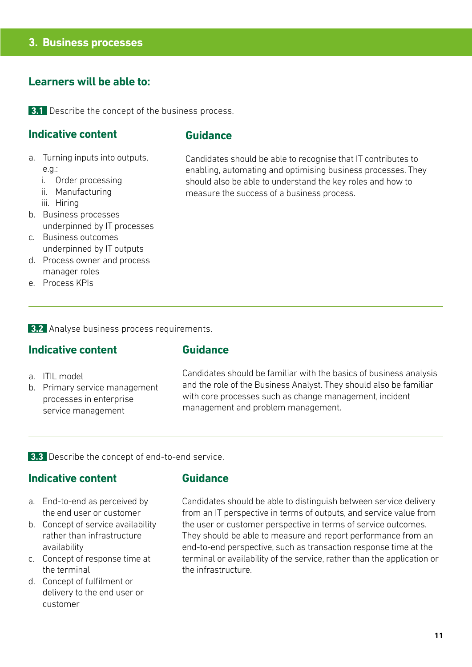#### **3. Business processes**

#### **Learners will be able to:**

**3.1** Describe the concept of the business process.

#### **Indicative content**

#### **Guidance**

- a. Turning inputs into outputs, e.g.:
	- i. Order processing
	- ii. Manufacturing
	- iii. Hiring
- b. Business processes underpinned by IT processes
- c. Business outcomes underpinned by IT outputs
- d. Process owner and process manager roles
- e. Process KPIs

**3.2** Analyse business process requirements.

#### **Indicative content**

#### **Guidance**

- a. ITIL model
- b. Primary service management processes in enterprise service management

Candidates should be familiar with the basics of business analysis and the role of the Business Analyst. They should also be familiar with core processes such as change management, incident management and problem management.

Candidates should be able to recognise that IT contributes to enabling, automating and optimising business processes. They should also be able to understand the key roles and how to

measure the success of a business process.

**3.3** Describe the concept of end-to-end service.

#### **Indicative content**

- a. End-to-end as perceived by the end user or customer
- b. Concept of service availability rather than infrastructure availability
- c. Concept of response time at the terminal
- d. Concept of fulfilment or delivery to the end user or customer

#### **Guidance**

Candidates should be able to distinguish between service delivery from an IT perspective in terms of outputs, and service value from the user or customer perspective in terms of service outcomes. They should be able to measure and report performance from an end-to-end perspective, such as transaction response time at the terminal or availability of the service, rather than the application or the infrastructure.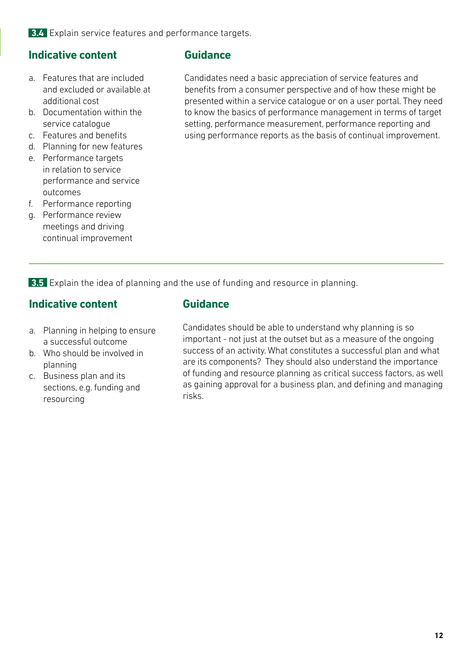#### **3.4** Explain service features and performance targets.

### **Indicative content**

- a. Features that are included and excluded or available at additional cost
- b. Documentation within the service catalogue
- c. Features and benefits
- d. Planning for new features
- e. Performance targets in relation to service performance and service outcomes
- f. Performance reporting
- g. Performance review meetings and driving continual improvement

#### **Guidance**

Candidates need a basic appreciation of service features and benefits from a consumer perspective and of how these might be presented within a service catalogue or on a user portal. They need to know the basics of performance management in terms of target setting, performance measurement, performance reporting and using performance reports as the basis of continual improvement.

**3.5** Explain the idea of planning and the use of funding and resource in planning.

#### **Indicative content**

- a. Planning in helping to ensure a successful outcome
- b. Who should be involved in planning
- c. Business plan and its sections, e.g. funding and resourcing

#### **Guidance**

Candidates should be able to understand why planning is so important - not just at the outset but as a measure of the ongoing success of an activity. What constitutes a successful plan and what are its components? They should also understand the importance of funding and resource planning as critical success factors, as well as gaining approval for a business plan, and defining and managing risks.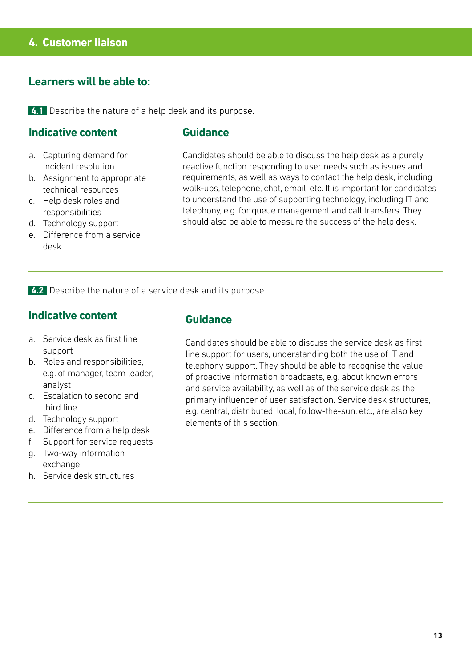**4.1** Describe the nature of a help desk and its purpose.

#### **Indicative content**

#### **Guidance**

- a. Capturing demand for incident resolution
- b. Assignment to appropriate technical resources
- c. Help desk roles and responsibilities
- d. Technology support
- e. Difference from a service desk

Candidates should be able to discuss the help desk as a purely reactive function responding to user needs such as issues and requirements, as well as ways to contact the help desk, including walk-ups, telephone, chat, email, etc. It is important for candidates to understand the use of supporting technology, including IT and telephony, e.g. for queue management and call transfers. They should also be able to measure the success of the help desk.

**4.2** Describe the nature of a service desk and its purpose.

#### **Indicative content**

- a. Service desk as first line support
- b. Roles and responsibilities, e.g. of manager, team leader, analyst
- c. Escalation to second and third line
- d. Technology support
- e. Difference from a help desk
- f. Support for service requests g. Two-way information
- exchange
- h. Service desk structures

#### **Guidance**

Candidates should be able to discuss the service desk as first line support for users, understanding both the use of IT and telephony support. They should be able to recognise the value of proactive information broadcasts, e.g. about known errors and service availability, as well as of the service desk as the primary influencer of user satisfaction. Service desk structures, e.g. central, distributed, local, follow-the-sun, etc., are also key elements of this section.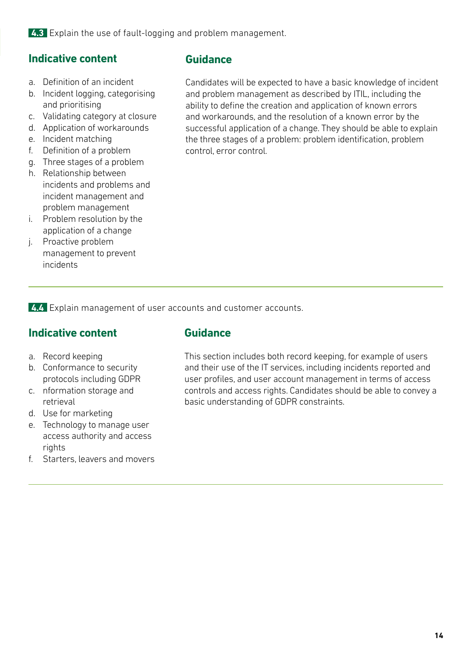**4.3** Explain the use of fault-logging and problem management.

### **Indicative content**

- a. Definition of an incident
- b. Incident logging, categorising and prioritising
- c. Validating category at closure
- d. Application of workarounds
- e. Incident matching
- f. Definition of a problem
- g. Three stages of a problem
- h. Relationship between incidents and problems and incident management and problem management
- i. Problem resolution by the application of a change
- j. Proactive problem management to prevent incidents

#### **Guidance**

Candidates will be expected to have a basic knowledge of incident and problem management as described by ITIL, including the ability to define the creation and application of known errors and workarounds, and the resolution of a known error by the successful application of a change. They should be able to explain the three stages of a problem: problem identification, problem control, error control.

**4.4** Explain management of user accounts and customer accounts.

### **Indicative content**

- a. Record keeping
- b. Conformance to security protocols including GDPR
- c. nformation storage and retrieval
- d. Use for marketing
- e. Technology to manage user access authority and access rights
- f. Starters, leavers and movers

#### **Guidance**

This section includes both record keeping, for example of users and their use of the IT services, including incidents reported and user profiles, and user account management in terms of access controls and access rights. Candidates should be able to convey a basic understanding of GDPR constraints.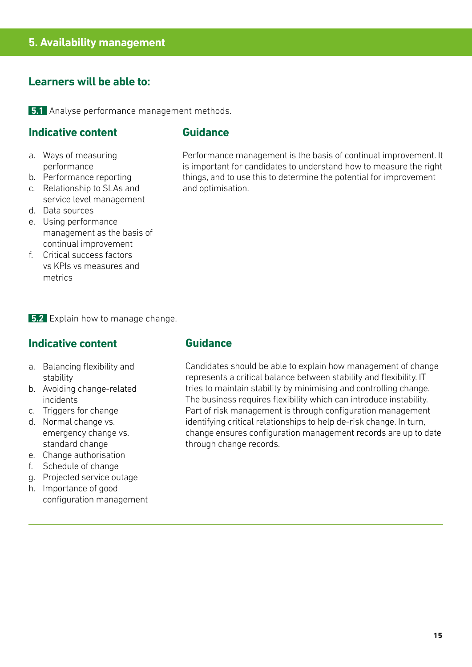**5.1** Analyse performance management methods.

#### **Indicative content**

#### **Guidance**

- a. Ways of measuring performance
- b. Performance reporting
- c. Relationship to SLAs and service level management
- d. Data sources
- e. Using performance management as the basis of continual improvement
- f. Critical success factors vs KPIs vs measures and metrics

Performance management is the basis of continual improvement. It is important for candidates to understand how to measure the right things, and to use this to determine the potential for improvement and optimisation.

**5.2** Explain how to manage change.

#### **Indicative content**

- a. Balancing flexibility and stability
- b. Avoiding change-related incidents
- c. Triggers for change
- d. Normal change vs. emergency change vs. standard change
- e. Change authorisation
- f. Schedule of change
- g. Projected service outage
- h. Importance of good configuration management

#### **Guidance**

Candidates should be able to explain how management of change represents a critical balance between stability and flexibility. IT tries to maintain stability by minimising and controlling change. The business requires flexibility which can introduce instability. Part of risk management is through configuration management identifying critical relationships to help de-risk change. In turn, change ensures configuration management records are up to date through change records.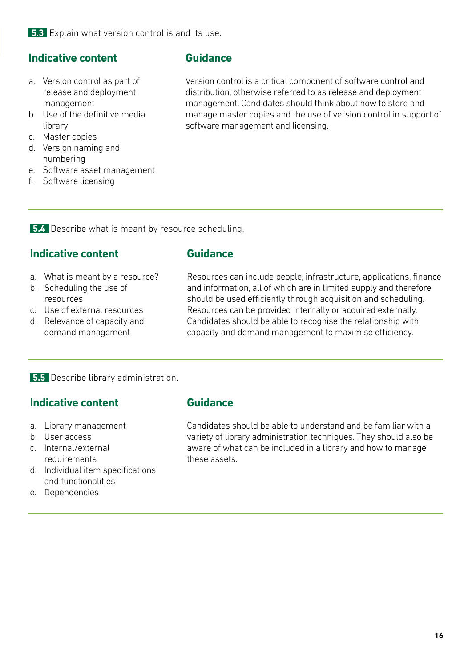### **Indicative content**

- a. Version control as part of release and deployment management
- b. Use of the definitive media library
- c. Master copies
- d. Version naming and numbering
- e. Software asset management
- f. Software licensing

#### **Guidance**

Version control is a critical component of software control and distribution, otherwise referred to as release and deployment management. Candidates should think about how to store and manage master copies and the use of version control in support of software management and licensing.

**5.4** Describe what is meant by resource scheduling.

### **Indicative content**

- a. What is meant by a resource?
- b. Scheduling the use of resources
- c. Use of external resources
- d. Relevance of capacity and demand management

**Guidance**

Resources can include people, infrastructure, applications, finance and information, all of which are in limited supply and therefore should be used efficiently through acquisition and scheduling. Resources can be provided internally or acquired externally. Candidates should be able to recognise the relationship with capacity and demand management to maximise efficiency.

**5.5** Describe library administration.

### **Indicative content**

- a. Library management
- b. User access
- c. Internal/external requirements
- d. Individual item specifications and functionalities
- e. Dependencies

#### **Guidance**

Candidates should be able to understand and be familiar with a variety of library administration techniques. They should also be aware of what can be included in a library and how to manage these assets.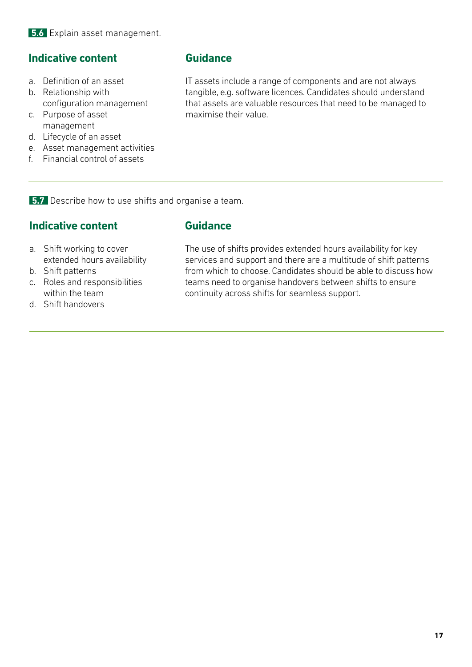### **Indicative content**

- a. Definition of an asset
- b. Relationship with configuration management
- c. Purpose of asset management
- d. Lifecycle of an asset
- e. Asset management activities
- f. Financial control of assets

#### **Guidance**

**Guidance**

IT assets include a range of components and are not always tangible, e.g. software licences. Candidates should understand that assets are valuable resources that need to be managed to maximise their value.

**5.7** Describe how to use shifts and organise a team.

### **Indicative content**

#### a. Shift working to cover extended hours availability

- b. Shift patterns
- c. Roles and responsibilities within the team
- The use of shifts provides extended hours availability for key services and support and there are a multitude of shift patterns from which to choose. Candidates should be able to discuss how teams need to organise handovers between shifts to ensure continuity across shifts for seamless support.

d. Shift handovers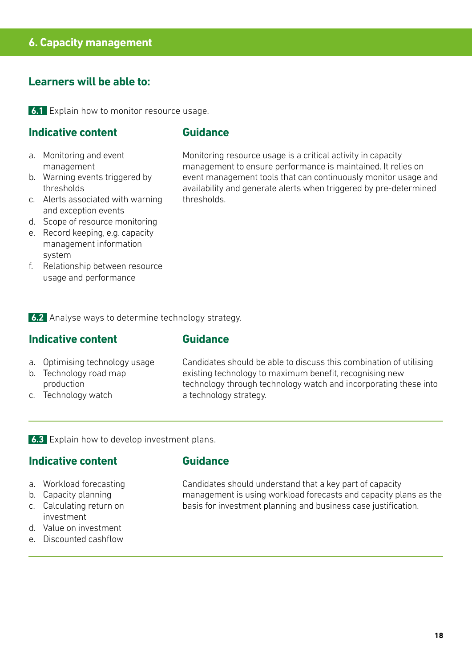#### **6. Capacity management**

#### **Learners will be able to:**

**6.1** Explain how to monitor resource usage.

#### **Indicative content**

#### **Guidance**

- a. Monitoring and event management
- b. Warning events triggered by thresholds
- c. Alerts associated with warning and exception events
- d. Scope of resource monitoring
- e. Record keeping, e.g. capacity management information system
- f. Relationship between resource usage and performance

Monitoring resource usage is a critical activity in capacity management to ensure performance is maintained. It relies on event management tools that can continuously monitor usage and availability and generate alerts when triggered by pre-determined thresholds.

**6.2** Analyse ways to determine technology strategy.

#### **Indicative content**

#### **Guidance**

- a. Optimising technology usage
- b. Technology road map production
- c. Technology watch

Candidates should be able to discuss this combination of utilising existing technology to maximum benefit, recognising new technology through technology watch and incorporating these into a technology strategy.

**6.3** Explain how to develop investment plans.

#### **Indicative content**

- a. Workload forecasting
- b. Capacity planning
- c. Calculating return on investment
- d. Value on investment
- e. Discounted cashflow

#### **Guidance**

Candidates should understand that a key part of capacity management is using workload forecasts and capacity plans as the basis for investment planning and business case justification.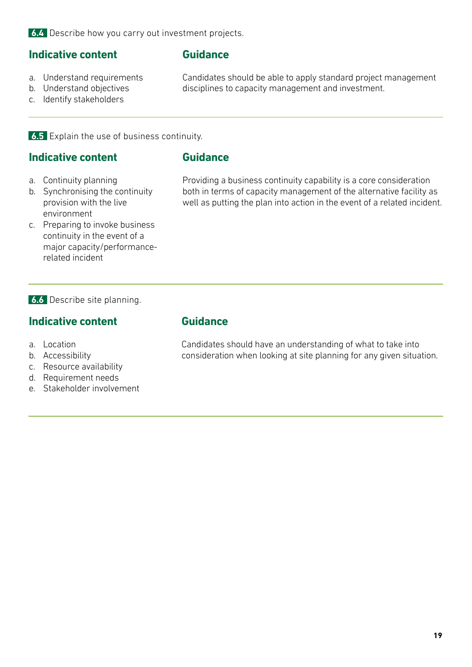#### **Indicative content**

### **Guidance**

- a. Understand requirements
- Candidates should be able to apply standard project management disciplines to capacity management and investment.
- b. Understand objectives c. Identify stakeholders
- **6.5** Explain the use of business continuity.

#### **Indicative content**

#### **Guidance**

- a. Continuity planning
- b. Synchronising the continuity provision with the live environment
- c. Preparing to invoke business continuity in the event of a major capacity/performancerelated incident

Providing a business continuity capability is a core consideration both in terms of capacity management of the alternative facility as well as putting the plan into action in the event of a related incident.

#### **6.6** Describe site planning.

#### **Indicative content**

- a. Location
- b. Accessibility
- c. Resource availability
- d. Requirement needs
- e. Stakeholder involvement

#### **Guidance**

Candidates should have an understanding of what to take into consideration when looking at site planning for any given situation.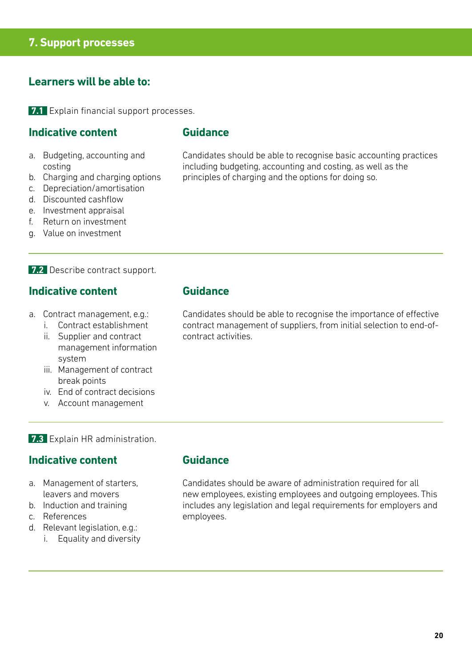#### **7. Support processes**

#### **Learners will be able to:**

**7.1** Explain financial support processes.

#### **Indicative content**

#### **Guidance**

- a. Budgeting, accounting and costing
- b. Charging and charging options
- c. Depreciation/amortisation
- d. Discounted cashflow
- e. Investment appraisal
- f. Return on investment
- g. Value on investment

#### **7.2** Describe contract support.

#### **Indicative content**

- a. Contract management, e.g.:
	- i. Contract establishment
	- ii. Supplier and contract management information system
	- iii. Management of contract break points
	- iv. End of contract decisions
	- v. Account management

#### **7.3** Explain HR administration.

#### **Indicative content**

- a. Management of starters, leavers and movers
- b. Induction and training
- c. References
- d. Relevant legislation, e.g.:
	- i. Equality and diversity

#### **Guidance**

**Guidance**

Candidates should be able to recognise the importance of effective contract management of suppliers, from initial selection to end-ofcontract activities.

Candidates should be able to recognise basic accounting practices

including budgeting, accounting and costing, as well as the

principles of charging and the options for doing so.

Candidates should be aware of administration required for all new employees, existing employees and outgoing employees. This includes any legislation and legal requirements for employers and employees.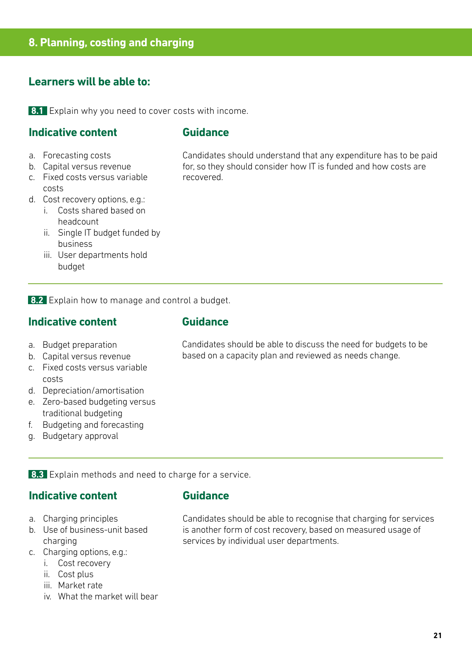**8.1** Explain why you need to cover costs with income.

#### **Indicative content**

#### **Guidance**

- a. Forecasting costs
- b. Capital versus revenue
- c. Fixed costs versus variable costs
- d. Cost recovery options, e.g.:
	- i. Costs shared based on headcount
	- ii. Single IT budget funded by business
	- iii. User departments hold budget

Candidates should understand that any expenditure has to be paid for, so they should consider how IT is funded and how costs are recovered.

**8.2** Explain how to manage and control a budget.

#### **Indicative content**

- a. Budget preparation
- b. Capital versus revenue
- c. Fixed costs versus variable costs
- d. Depreciation/amortisation
- e. Zero-based budgeting versus traditional budgeting
- f. Budgeting and forecasting
- g. Budgetary approval

#### **Guidance**

Candidates should be able to discuss the need for budgets to be based on a capacity plan and reviewed as needs change.

**8.3** Explain methods and need to charge for a service.

#### **Indicative content**

- a. Charging principles
- b. Use of business-unit based charging
- c. Charging options, e.g.:
	- i. Cost recovery
	- ii. Cost plus
	- iii. Market rate
	- iv. What the market will bear

#### **Guidance**

Candidates should be able to recognise that charging for services is another form of cost recovery, based on measured usage of services by individual user departments.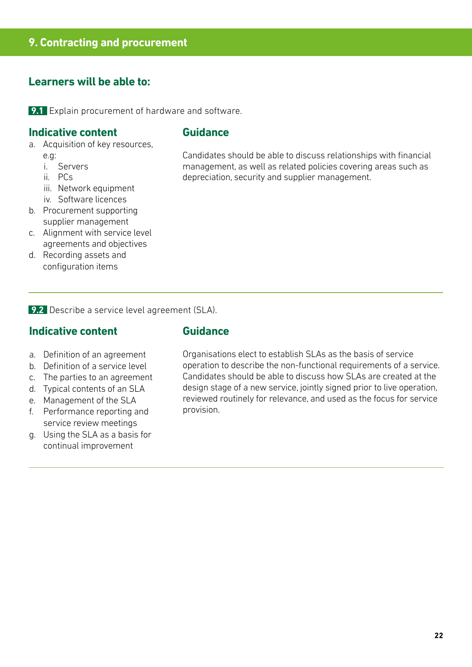**9.1** Explain procurement of hardware and software.

#### **Indicative content**

#### **Guidance**

- a. Acquisition of key resources, e.g:
	- i. Servers
	- ii. PCs
	- iii. Network equipment
	- iv. Software licences
- b. Procurement supporting supplier management
- c. Alignment with service level agreements and objectives
- d. Recording assets and configuration items

Candidates should be able to discuss relationships with financial management, as well as related policies covering areas such as depreciation, security and supplier management.

**9.2** Describe a service level agreement (SLA).

#### **Indicative content**

#### **Guidance**

- a. Definition of an agreement
- b. Definition of a service level
- c. The parties to an agreement
- d. Typical contents of an SLA
- e. Management of the SLA
- f. Performance reporting and service review meetings
- g. Using the SLA as a basis for continual improvement

Organisations elect to establish SLAs as the basis of service operation to describe the non-functional requirements of a service. Candidates should be able to discuss how SLAs are created at the design stage of a new service, jointly signed prior to live operation, reviewed routinely for relevance, and used as the focus for service provision.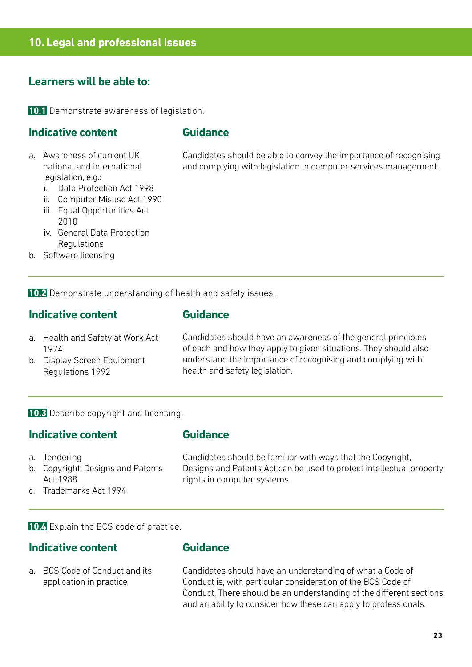**10.1** Demonstrate awareness of legislation.

#### **Indicative content**

#### **Guidance**

- a. Awareness of current UK national and international legislation, e.g.:
	- i. Data Protection Act 1998
	- ii. Computer Misuse Act 1990
	- iii. Equal Opportunities Act 2010
	- iv. General Data Protection Regulations
- b. Software licensing

Candidates should be able to convey the importance of recognising and complying with legislation in computer services management.

**10.2** Demonstrate understanding of health and safety issues.

#### **Indicative content**

#### **Guidance**

- a. Health and Safety at Work Act 1974
- b. Display Screen Equipment Regulations 1992

Candidates should have an awareness of the general principles of each and how they apply to given situations. They should also understand the importance of recognising and complying with health and safety legislation.

**10.3** Describe copyright and licensing.

#### **Indicative content**

### **Guidance**

- a. Tendering
- b. Copyright, Designs and Patents Act 1988
- c. Trademarks Act 1994

Candidates should be familiar with ways that the Copyright, Designs and Patents Act can be used to protect intellectual property rights in computer systems.

**10.4** Explain the BCS code of practice.

#### **Indicative content**

# **Guidance**

a. BCS Code of Conduct and its application in practice

Candidates should have an understanding of what a Code of Conduct is, with particular consideration of the BCS Code of Conduct. There should be an understanding of the different sections and an ability to consider how these can apply to professionals.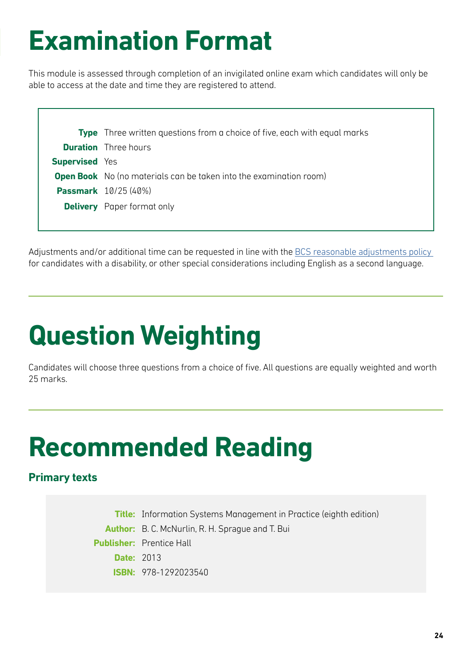# **Examination Format**

This module is assessed through completion of an invigilated online exam which candidates will only be able to access at the date and time they are registered to attend.

|                       | <b>Type</b> Three written questions from a choice of five, each with equal marks |
|-----------------------|----------------------------------------------------------------------------------|
|                       | <b>Duration</b> Three hours                                                      |
| <b>Supervised</b> Yes |                                                                                  |
|                       | <b>Open Book</b> No (no materials can be taken into the examination room)        |
|                       | <b>Passmark</b> 10/25 (40%)                                                      |
|                       | <b>Delivery</b> Paper format only                                                |
|                       |                                                                                  |

Adjustments and/or additional time can be requested in line with the BCS reasonable adjustments policy for candidates with a disability, or other special considerations including English as a second language.

# **Question Weighting**

Candidates will choose three questions from a choice of five. All questions are equally weighted and worth 25 marks.

# **Recommended Reading**

# **Primary texts**

**Title:** Information Systems Management in Practice (eighth edition) **Author:** B. C. McNurlin, R. H. Sprague and T. Bui **Publisher:** Prentice Hall **Date:** 2013 **ISBN:** 978-1292023540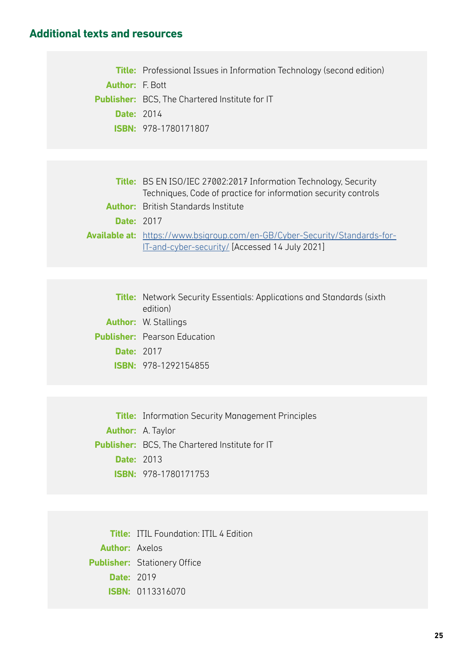#### **Additional texts and resources**

**Title:** Professional Issues in Information Technology (second edition) **Author:** F. Bott **Publisher:** BCS, The Chartered Institute for IT **Date:** 2014 **ISBN:** 978-1780171807

|                   | <b>Title:</b> BS EN ISO/IEC 27002:2017 Information Technology, Security           |  |
|-------------------|-----------------------------------------------------------------------------------|--|
|                   | Techniques, Code of practice for information security controls                    |  |
|                   | <b>Author:</b> British Standards Institute                                        |  |
| <b>Date: 2017</b> |                                                                                   |  |
|                   | <b>Available at:</b> https://www.bsigroup.com/en-GB/Cyber-Security/Standards-for- |  |
|                   | IT-and-cyber-security/ [Accessed 14 July 2021]                                    |  |

**Title:** Network Security Essentials: Applications and Standards (sixth edition) **Author:** W. Stallings **Publisher:** Pearson Education **Date:** 2017 **ISBN:** 978-1292154855

**Title:** Information Security Management Principles **Author:** A. Taylor **Publisher:** BCS, The Chartered Institute for IT **Date:** 2013 **ISBN:** 978-1780171753

**Title:** ITIL Foundation: ITIL 4 Edition **Author:** Axelos **Publisher:** Stationery Office **Date:** 2019 **ISBN:** 0113316070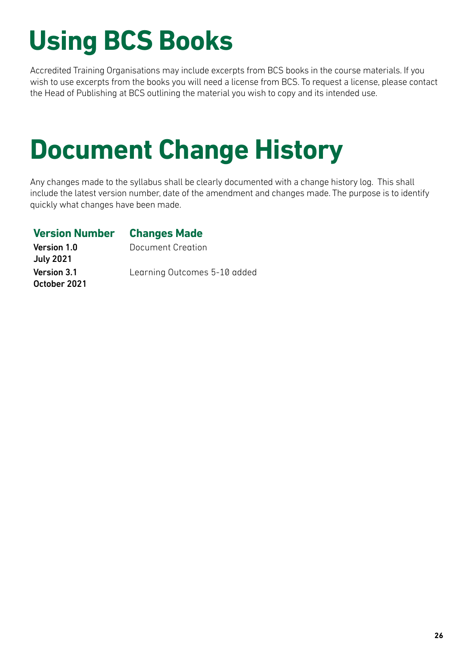# **Using BCS Books**

Accredited Training Organisations may include excerpts from BCS books in the course materials. If you wish to use excerpts from the books you will need a license from BCS. To request a license, please contact the Head of Publishing at BCS outlining the material you wish to copy and its intended use.

# **Document Change History**

Any changes made to the syllabus shall be clearly documented with a change history log. This shall include the latest version number, date of the amendment and changes made. The purpose is to identify quickly what changes have been made.

# **Version Number Changes Made**

Document Creation

Version 1.0 July 2021 Version 3.1 October 2021

Learning Outcomes 5-10 added